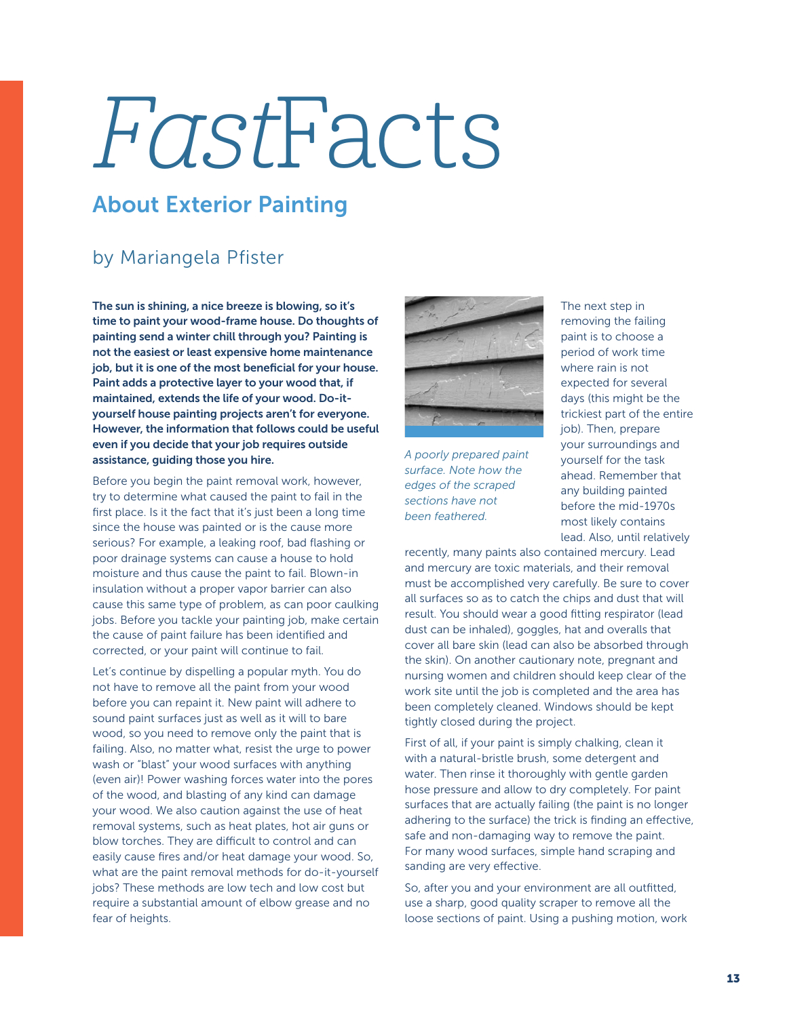## FastFacts

## About Exterior Painting

## by Mariangela Pfister

The sun is shining, a nice breeze is blowing, so it's time to paint your wood-frame house. Do thoughts of painting send a winter chill through you? Painting is not the easiest or least expensive home maintenance job, but it is one of the most beneficial for your house. Paint adds a protective layer to your wood that, if maintained, extends the life of your wood. Do-ityourself house painting projects aren't for everyone. However, the information that follows could be useful even if you decide that your job requires outside assistance, guiding those you hire.

Before you begin the paint removal work, however, try to determine what caused the paint to fail in the first place. Is it the fact that it's just been a long time since the house was painted or is the cause more serious? For example, a leaking roof, bad flashing or poor drainage systems can cause a house to hold moisture and thus cause the paint to fail. Blown-in insulation without a proper vapor barrier can also cause this same type of problem, as can poor caulking jobs. Before you tackle your painting job, make certain the cause of paint failure has been identified and corrected, or your paint will continue to fail.

Let's continue by dispelling a popular myth. You do not have to remove all the paint from your wood before you can repaint it. New paint will adhere to sound paint surfaces just as well as it will to bare wood, so you need to remove only the paint that is failing. Also, no matter what, resist the urge to power wash or "blast" your wood surfaces with anything (even air)! Power washing forces water into the pores of the wood, and blasting of any kind can damage your wood. We also caution against the use of heat removal systems, such as heat plates, hot air guns or blow torches. They are difficult to control and can easily cause fires and/or heat damage your wood. So, what are the paint removal methods for do-it-yourself jobs? These methods are low tech and low cost but require a substantial amount of elbow grease and no fear of heights.



*A poorly prepared paint surface. Note how the edges of the scraped sections have not been feathered.*

The next step in removing the failing paint is to choose a period of work time where rain is not expected for several days (this might be the trickiest part of the entire job). Then, prepare your surroundings and yourself for the task ahead. Remember that any building painted before the mid-1970s most likely contains lead. Also, until relatively

recently, many paints also contained mercury. Lead and mercury are toxic materials, and their removal must be accomplished very carefully. Be sure to cover all surfaces so as to catch the chips and dust that will result. You should wear a good fitting respirator (lead dust can be inhaled), goggles, hat and overalls that cover all bare skin (lead can also be absorbed through the skin). On another cautionary note, pregnant and nursing women and children should keep clear of the work site until the job is completed and the area has been completely cleaned. Windows should be kept tightly closed during the project.

First of all, if your paint is simply chalking, clean it with a natural-bristle brush, some detergent and water. Then rinse it thoroughly with gentle garden hose pressure and allow to dry completely. For paint surfaces that are actually failing (the paint is no longer adhering to the surface) the trick is finding an effective, safe and non-damaging way to remove the paint. For many wood surfaces, simple hand scraping and sanding are very effective.

So, after you and your environment are all outfitted, use a sharp, good quality scraper to remove all the loose sections of paint. Using a pushing motion, work